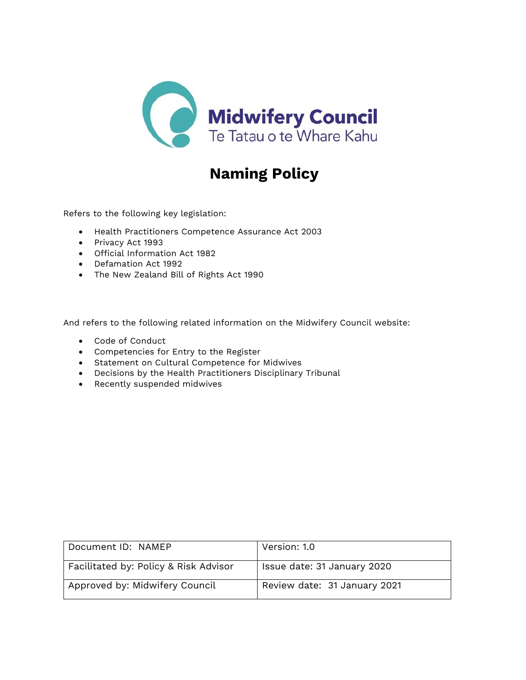

# **Naming Policy**

Refers to the following key legislation:

- Health Practitioners Competence Assurance Act 2003
- Privacy Act 1993
- Official Information Act 1982
- Defamation Act 1992
- The New Zealand Bill of Rights Act 1990

And refers to the following related information on the Midwifery Council website:

- Code of Conduct
- Competencies for Entry to the Register
- Statement on Cultural Competence for Midwives
- Decisions by the Health Practitioners Disciplinary Tribunal
- Recently suspended midwives

| Document ID: NAMEP                    | Version: 1.0                 |
|---------------------------------------|------------------------------|
| Facilitated by: Policy & Risk Advisor | Issue date: 31 January 2020  |
| Approved by: Midwifery Council        | Review date: 31 January 2021 |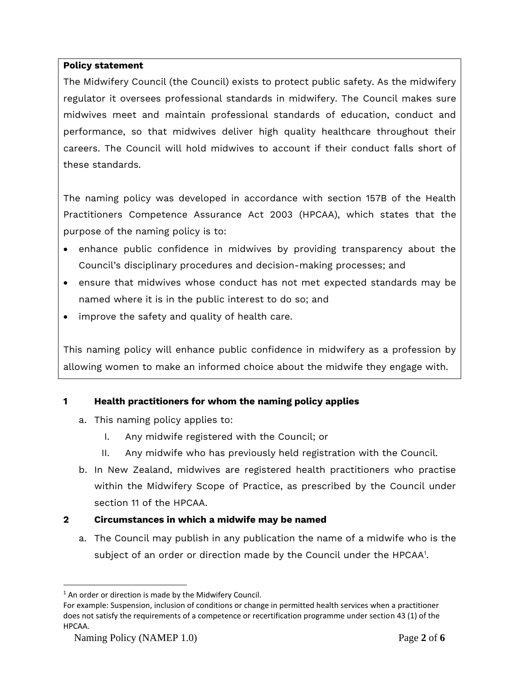#### **Policy statement**

The Midwifery Council (the Council) exists to protect public safety. As the midwifery regulator it oversees professional standards in midwifery. The Council makes sure midwives meet and maintain professional standards of education, conduct and performance, so that midwives deliver high quality healthcare throughout their careers. The Council will hold midwives to account if their conduct falls short of these standards.

The naming policy was developed in accordance with section 157B of the Health Practitioners Competence Assurance Act 2003 (HPCAA), which states that the purpose of the naming policy is to:

- enhance public confidence in midwives by providing transparency about the Council's disciplinary procedures and decision-making processes; and
- ensure that midwives whose conduct has not met expected standards may be named where it is in the public interest to do so; and
- improve the safety and quality of health care.

This naming policy will enhance public confidence in midwifery as a profession by allowing women to make an informed choice about the midwife they engage with.

# **1 Health practitioners for whom the naming policy applies**

- a. This naming policy applies to:
	- I. Any midwife registered with the Council; or
	- II. Any midwife who has previously held registration with the Council.
- b. In New Zealand, midwives are registered health practitioners who practise within the Midwifery Scope of Practice, as prescribed by the Council under section 11 of the HPCAA.

# **2 Circumstances in which a midwife may be named**

a. The Council may publish in any publication the name of a midwife who is the subject of an order or direction made by the Council under the HPCAA<sup>1</sup>.

 $1$  An order or direction is made by the Midwifery Council.

For example: Suspension, inclusion of conditions or change in permitted health services when a practitioner does not satisfy the requirements of a competence or recertification programme under section 43 (1) of the HPCAA.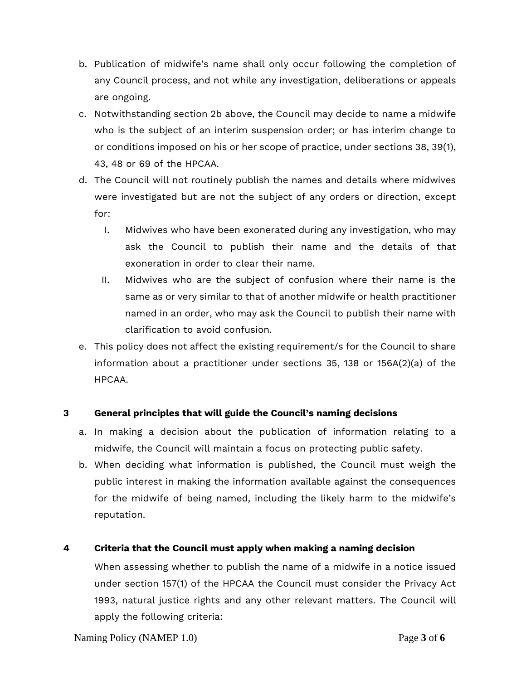- b. Publication of midwife's name shall only occur following the completion of any Council process, and not while any investigation, deliberations or appeals are ongoing.
- c. Notwithstanding section 2b above, the Council may decide to name a midwife who is the subject of an interim suspension order; or has interim change to or conditions imposed on his or her scope of practice, under sections 38, 39(1), 43, 48 or 69 of the HPCAA.
- d. The Council will not routinely publish the names and details where midwives were investigated but are not the subject of any orders or direction, except for:
	- I. Midwives who have been exonerated during any investigation, who may ask the Council to publish their name and the details of that exoneration in order to clear their name.
	- II. Midwives who are the subject of confusion where their name is the same as or very similar to that of another midwife or health practitioner named in an order, who may ask the Council to publish their name with clarification to avoid confusion.
- e. This policy does not affect the existing requirement/s for the Council to share information about a practitioner under sections 35, 138 or 156A(2)(a) of the HPCAA.

# **3 General principles that will guide the Council's naming decisions**

- a. In making a decision about the publication of information relating to a midwife, the Council will maintain a focus on protecting public safety.
- b. When deciding what information is published, the Council must weigh the public interest in making the information available against the consequences for the midwife of being named, including the likely harm to the midwife's reputation.

# **4 Criteria that the Council must apply when making a naming decision**

When assessing whether to publish the name of a midwife in a notice issued under section 157(1) of the HPCAA the Council must consider the Privacy Act 1993, natural justice rights and any other relevant matters. The Council will apply the following criteria: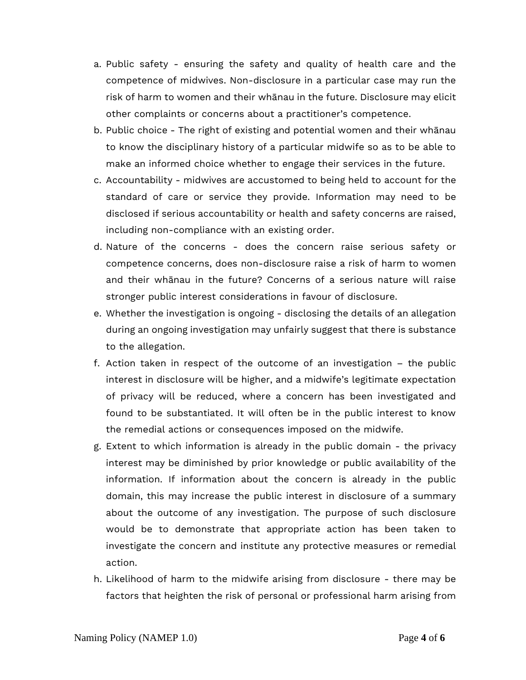- a. Public safety ensuring the safety and quality of health care and the competence of midwives. Non-disclosure in a particular case may run the risk of harm to women and their whānau in the future. Disclosure may elicit other complaints or concerns about a practitioner's competence.
- b. Public choice The right of existing and potential women and their whānau to know the disciplinary history of a particular midwife so as to be able to make an informed choice whether to engage their services in the future.
- c. Accountability midwives are accustomed to being held to account for the standard of care or service they provide. Information may need to be disclosed if serious accountability or health and safety concerns are raised, including non-compliance with an existing order.
- d. Nature of the concerns does the concern raise serious safety or competence concerns, does non-disclosure raise a risk of harm to women and their whānau in the future? Concerns of a serious nature will raise stronger public interest considerations in favour of disclosure.
- e. Whether the investigation is ongoing disclosing the details of an allegation during an ongoing investigation may unfairly suggest that there is substance to the allegation.
- f. Action taken in respect of the outcome of an investigation the public interest in disclosure will be higher, and a midwife's legitimate expectation of privacy will be reduced, where a concern has been investigated and found to be substantiated. It will often be in the public interest to know the remedial actions or consequences imposed on the midwife.
- g. Extent to which information is already in the public domain the privacy interest may be diminished by prior knowledge or public availability of the information. If information about the concern is already in the public domain, this may increase the public interest in disclosure of a summary about the outcome of any investigation. The purpose of such disclosure would be to demonstrate that appropriate action has been taken to investigate the concern and institute any protective measures or remedial action.
- h. Likelihood of harm to the midwife arising from disclosure there may be factors that heighten the risk of personal or professional harm arising from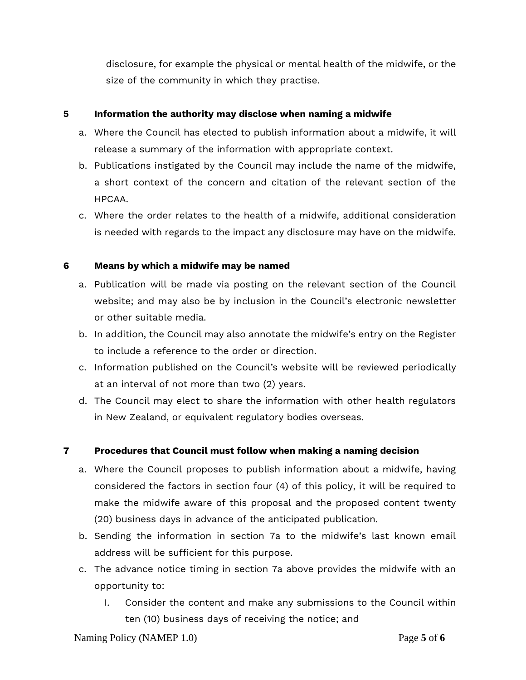disclosure, for example the physical or mental health of the midwife, or the size of the community in which they practise.

#### **5 Information the authority may disclose when naming a midwife**

- a. Where the Council has elected to publish information about a midwife, it will release a summary of the information with appropriate context.
- b. Publications instigated by the Council may include the name of the midwife, a short context of the concern and citation of the relevant section of the HPCAA.
- c. Where the order relates to the health of a midwife, additional consideration is needed with regards to the impact any disclosure may have on the midwife.

#### **6 Means by which a midwife may be named**

- a. Publication will be made via posting on the relevant section of the Council website; and may also be by inclusion in the Council's electronic newsletter or other suitable media.
- b. In addition, the Council may also annotate the midwife's entry on the Register to include a reference to the order or direction.
- c. Information published on the Council's website will be reviewed periodically at an interval of not more than two (2) years.
- d. The Council may elect to share the information with other health regulators in New Zealand, or equivalent regulatory bodies overseas.

# **7 Procedures that Council must follow when making a naming decision**

- a. Where the Council proposes to publish information about a midwife, having considered the factors in section four (4) of this policy, it will be required to make the midwife aware of this proposal and the proposed content twenty (20) business days in advance of the anticipated publication.
- b. Sending the information in section 7a to the midwife's last known email address will be sufficient for this purpose.
- c. The advance notice timing in section 7a above provides the midwife with an opportunity to:
	- I. Consider the content and make any submissions to the Council within ten (10) business days of receiving the notice; and